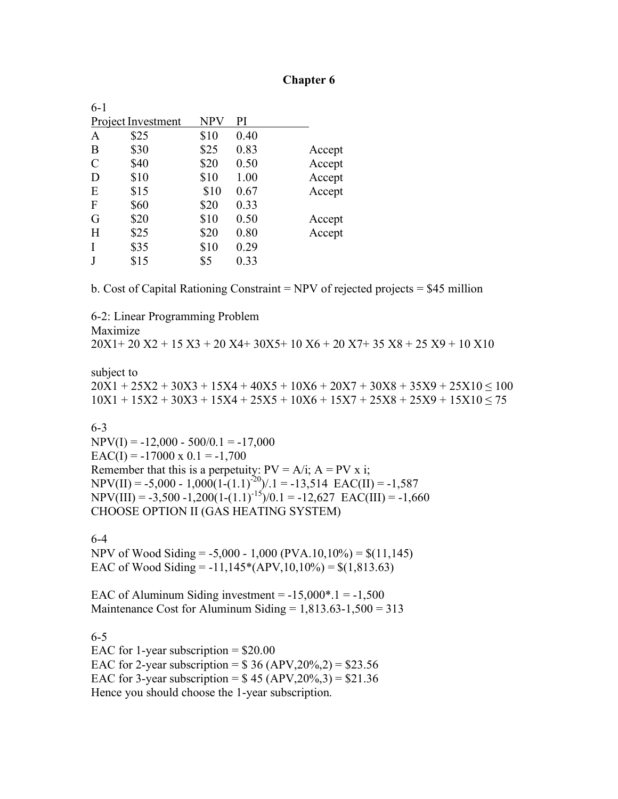### **Chapter 6**

| 6-1           |                    |      |      |        |
|---------------|--------------------|------|------|--------|
|               | Project Investment | NPV  | PI   |        |
| A             | \$25               | \$10 | 0.40 |        |
| B             | \$30               | \$25 | 0.83 | Accept |
| $\mathcal{C}$ | \$40               | \$20 | 0.50 | Accept |
| D             | \$10               | \$10 | 1.00 | Accept |
| E             | \$15               | \$10 | 0.67 | Accept |
| $\mathbf{F}$  | \$60               | \$20 | 0.33 |        |
| G             | \$20               | \$10 | 0.50 | Accept |
| H             | \$25               | \$20 | 0.80 | Accept |
| I             | \$35               | \$10 | 0.29 |        |
|               | \$15               | \$5  | 0.33 |        |

b. Cost of Capital Rationing Constraint = NPV of rejected projects = \$45 million

6-2: Linear Programming Problem Maximize  $20X1+ 20X2 + 15X3 + 20X4 + 30X5 + 10X6 + 20X7 + 35X8 + 25X9 + 10X10$ 

subject to  $20X1 + 25X2 + 30X3 + 15X4 + 40X5 + 10X6 + 20X7 + 30X8 + 35X9 + 25X10 \le 100$  $10X1 + 15X2 + 30X3 + 15X4 + 25X5 + 10X6 + 15X7 + 25X8 + 25X9 + 15X10 \le 75$ 

6-3

 $NPV(I) = -12,000 - 500/0.1 = -17,000$  $EAC(I) = -17000 \times 0.1 = -1,700$ Remember that this is a perpetuity:  $PV = A/i$ ;  $A = PV \times i$ ;  $NPV(II) = -5,000 - 1,000(1-(1.1)^{-20})/0.1 = -13,514$   $EAC(II) = -1,587$  $NPV(III) = -3,500 - 1,200(1-(1.1)^{-15})/0.1 = -12,627$   $EAC(III) = -1,660$ CHOOSE OPTION II (GAS HEATING SYSTEM)

6-4

NPV of Wood Siding =  $-5,000 - 1,000$  (PVA.10,10%) = \$(11,145) EAC of Wood Siding =  $-11,145*(APV,10,10\%) = $(1,813.63)$ 

EAC of Aluminum Siding investment  $= -15,000$  $^*$ .1  $= -1,500$ Maintenance Cost for Aluminum Siding  $= 1,813.63 - 1,500 = 313$ 

6-5 EAC for 1-year subscription  $=$  \$20.00 EAC for 2-year subscription =  $$36 (APV, 20\%, 2) = $23.56$ EAC for 3-year subscription =  $$ 45 (APV, 20%, 3) = $21.36$ Hence you should choose the 1-year subscription.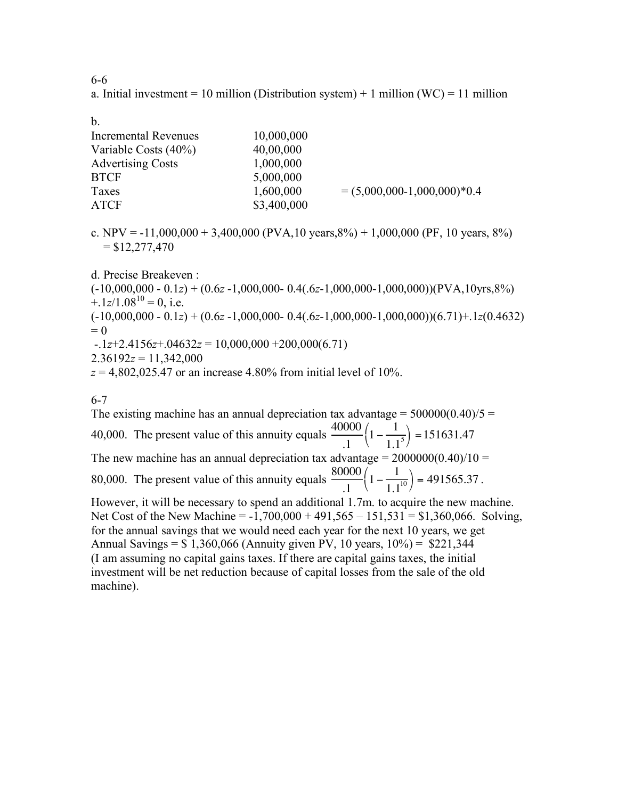6-6

a. Initial investment = 10 million (Distribution system) + 1 million (WC) = 11 million

b.

| 10,000,000  |                               |
|-------------|-------------------------------|
| 40,00,000   |                               |
| 1,000,000   |                               |
| 5,000,000   |                               |
| 1,600,000   | $= (5,000,000-1,000,000)*0.4$ |
| \$3,400,000 |                               |
|             |                               |

c. NPV = -11,000,000 + 3,400,000 (PVA,10 years,8%) + 1,000,000 (PF, 10 years, 8%)  $=$  \$12,277,470

d. Precise Breakeven :

(-10,000,000 - 0.1*z*) + (0.6*z* -1,000,000- 0.4(.6*z*-1,000,000-1,000,000))(PVA,10yrs,8%)  $+1z/1.08^{10} = 0$ , i.e.

(-10,000,000 - 0.1*z*) + (0.6*z* -1,000,000- 0.4(.6*z*-1,000,000-1,000,000))(6.71)+.1*z*(0.4632)  $= 0$ 

-.1*z*+2.4156*z*+.04632*z* = 10,000,000 +200,000(6.71)

 $2.36192z = 11,342,000$ 

 $z = 4.802,025.47$  or an increase 4.80% from initial level of 10%.

6-7

The existing machine has an annual depreciation tax advantage =  $500000(0.40)/5$  = 40,000. The present value of this annuity equals  $\frac{40000}{1}$ .1  $1 - \frac{1}{11}$  $1.1<sup>5</sup>$  $\left(1-\frac{1}{1.1^5}\right) = 151631.47$ The new machine has an annual depreciation tax advantage =  $2000000(0.40)/10 =$ 80,000. The present value of this annuity equals  $\frac{80000}{1}$ .1  $1 - \frac{1}{11}$  $1.1^{10}$  $\left(1 - \frac{1}{1.1^{10}}\right) = 491565.37$ . However, it will be necessary to spend an additional 1.7m. to acquire the new machine. Net Cost of the New Machine = -1,700,000 + 491,565 – 151,531 = \$1,360,066. Solving, for the annual savings that we would need each year for the next 10 years, we get Annual Savings =  $$ 1,360,066$  (Annuity given PV, 10 years,  $10\%$ ) =  $$221,344$ (I am assuming no capital gains taxes. If there are capital gains taxes, the initial investment will be net reduction because of capital losses from the sale of the old

machine).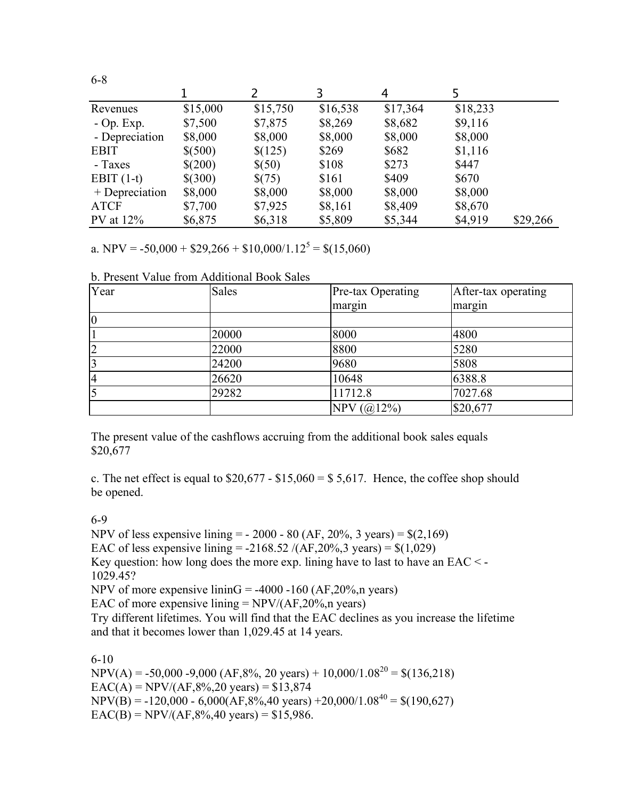|                |          | 2        | 3        | 4        |          |          |
|----------------|----------|----------|----------|----------|----------|----------|
| Revenues       | \$15,000 | \$15,750 | \$16,538 | \$17,364 | \$18,233 |          |
| $-$ Op. Exp.   | \$7,500  | \$7,875  | \$8,269  | \$8,682  | \$9,116  |          |
| - Depreciation | \$8,000  | \$8,000  | \$8,000  | \$8,000  | \$8,000  |          |
| <b>EBIT</b>    | \$(500)  | \$(125)  | \$269    | \$682    | \$1,116  |          |
| - Taxes        | \$(200)  | \$(50)   | \$108    | \$273    | \$447    |          |
| EBIT $(1-t)$   | \$(300)  | \$(75)   | \$161    | \$409    | \$670    |          |
| + Depreciation | \$8,000  | \$8,000  | \$8,000  | \$8,000  | \$8,000  |          |
| <b>ATCF</b>    | \$7,700  | \$7,925  | \$8,161  | \$8,409  | \$8,670  |          |
| $PV$ at $12\%$ | \$6,875  | \$6,318  | \$5,809  | \$5,344  | \$4,919  | \$29,266 |

a. NPV = -50,000 +  $$29,266 + $10,000/1.12^5 = $(15,060)$ 

b. Present Value from Additional Book Sales

| Year           | <b>Sales</b> | Pre-tax Operating | After-tax operating |
|----------------|--------------|-------------------|---------------------|
|                |              | margin            | margin              |
| $\overline{0}$ |              |                   |                     |
|                | 20000        | 8000              | 4800                |
| $\overline{2}$ | 22000        | 8800              | 5280                |
| 3              | 24200        | 9680              | 5808                |
| $\overline{4}$ | 26620        | 10648             | 6388.8              |
| $\overline{5}$ | 29282        | 11712.8           | 7027.68             |
|                |              | NPV $(Q(12%)$     | \$20,677            |

The present value of the cashflows accruing from the additional book sales equals \$20,677

c. The net effect is equal to  $$20,677 - $15,060 = $5,617$ . Hence, the coffee shop should be opened.

#### 6-9

6-8

NPV of less expensive lining  $=$  - 2000 - 80 (AF, 20%, 3 years)  $=$  \$(2,169) EAC of less expensive lining =  $-2168.52 / (AF, 20\%, 3 \text{ years}) = $(1,029)$ Key question: how long does the more exp. lining have to last to have an EAC < - 1029.45? NPV of more expensive lininG =  $-4000 -160$  (AF,20%,n years) EAC of more expensive lining  $= NPV/(AF, 20\%, n \text{ years})$ Try different lifetimes. You will find that the EAC declines as you increase the lifetime and that it becomes lower than 1,029.45 at 14 years.

#### 6-10

 $NPV(A) = -50,000 - 9,000 (AF,8\%, 20 \text{ years}) + 10,000/1.08^{20} = $(136,218)$  $EAC(A) = NPV/(AF, 8%, 20 \text{ years}) = $13,874$  $NPV(B) = -120,000 - 6,000(AF,8%,40 \text{ years}) + 20,000/1.08^{40} = $(190,627)$  $EAC(B) = NPV/(AF, 8%, 40 \text{ years}) = $15,986.$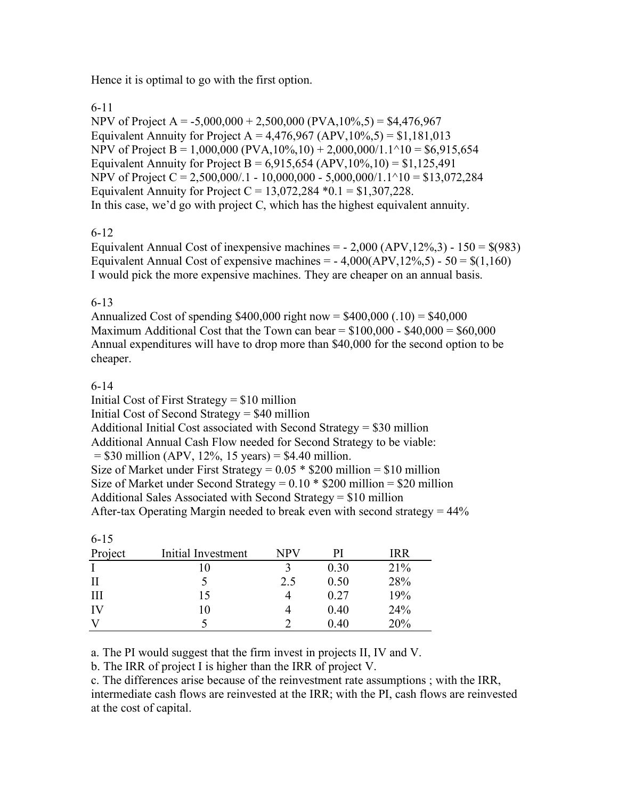Hence it is optimal to go with the first option.

## 6-11

NPV of Project A =  $-5,000,000 + 2,500,000$  (PVA,  $10\%$ , 5) = \$4,476,967 Equivalent Annuity for Project A =  $4,476,967$  (APV,  $10\%$ , 5) = \$1,181,013 NPV of Project B = 1,000,000 (PVA,10%,10) + 2,000,000/1.1^10 = \$6,915,654 Equivalent Annuity for Project B =  $6.915,654$  (APV,  $10\%$ ,  $10$ ) = \$1,125,491 NPV of Project C = 2,500,000/.1 - 10,000,000 - 5,000,000/1.1^10 = \$13,072,284 Equivalent Annuity for Project  $C = 13,072,284 *0.1 = $1,307,228$ . In this case, we'd go with project C, which has the highest equivalent annuity.

# 6-12

Equivalent Annual Cost of inexpensive machines  $=$  - 2,000 (APV, 12%, 3) - 150  $=$  \$(983) Equivalent Annual Cost of expensive machines =  $-4,000(APV,12\%,5) - 50 = $(1,160)$ I would pick the more expensive machines. They are cheaper on an annual basis.

## 6-13

Annualized Cost of spending  $$400,000$  right now =  $$400,000$  (.10) =  $$40,000$ Maximum Additional Cost that the Town can bear  $= $100,000 - $40,000 = $60,000$ Annual expenditures will have to drop more than \$40,000 for the second option to be cheaper.

## 6-14

Initial Cost of First Strategy = \$10 million Initial Cost of Second Strategy = \$40 million Additional Initial Cost associated with Second Strategy = \$30 million Additional Annual Cash Flow needed for Second Strategy to be viable:  $= $30$  million (APV, 12%, 15 years)  $= $4.40$  million. Size of Market under First Strategy =  $0.05 * $200$  million = \$10 million Size of Market under Second Strategy =  $0.10 * $200$  million = \$20 million Additional Sales Associated with Second Strategy = \$10 million After-tax Operating Margin needed to break even with second strategy  $= 44\%$ 

| $6 - 15$ |                    |            |      |            |
|----------|--------------------|------------|------|------------|
| Project  | Initial Investment | <b>NPV</b> | PI   | <b>IRR</b> |
|          | 10                 |            | 0.30 | 21%        |
| П        |                    | 2.5        | 0.50 | 28%        |
| Ш        | 15                 |            | 0.27 | 19%        |
| IV       | 10                 |            | 0.40 | 24%        |
|          |                    |            | 0.40 | 20%        |

a. The PI would suggest that the firm invest in projects II, IV and V.

b. The IRR of project I is higher than the IRR of project V.

c. The differences arise because of the reinvestment rate assumptions ; with the IRR, intermediate cash flows are reinvested at the IRR; with the PI, cash flows are reinvested at the cost of capital.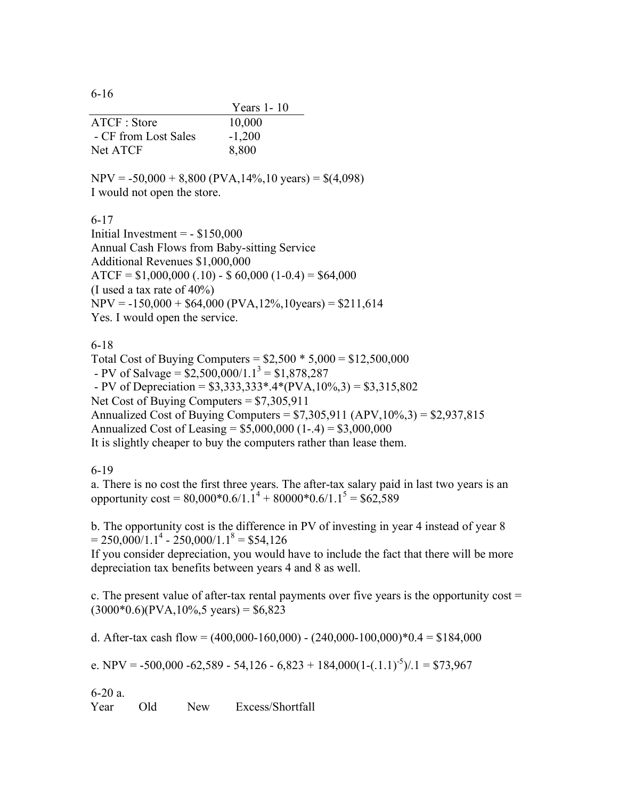6-16

|                      | Years 1 - 10 |
|----------------------|--------------|
| ATCF: Store          | 10,000       |
| - CF from Lost Sales | $-1,200$     |
| <b>Net ATCF</b>      | 8,800        |

 $NPV = -50,000 + 8,800 (PVA, 14\%, 10 \text{ years}) = $(4,098)$$ I would not open the store.

6-17

Initial Investment  $= - $150,000$ Annual Cash Flows from Baby-sitting Service Additional Revenues \$1,000,000  $ATCF = $1,000,000(.10) - $60,000(1-0.4) = $64,000$ (I used a tax rate of 40%)  $NPV = -150,000 + $64,000 (PVA, 12\%, 10 \text{years}) = $211.614$ Yes. I would open the service.

6-18

Total Cost of Buying Computers = \$2,500 \* 5,000 = \$12,500,000 - PV of Salvage =  $$2,500,000/1.1^3 = $1,878,287$ - PV of Depreciation =  $$3,333,333^*$ .4\*(PVA,10%,3) =  $$3,315,802$ Net Cost of Buying Computers = \$7,305,911 Annualized Cost of Buying Computers =  $$7,305,911$  (APV,  $10\%, 3$ ) =  $$2,937,815$ Annualized Cost of Leasing = \$5,000,000 (1-.4) = \$3,000,000 It is slightly cheaper to buy the computers rather than lease them.

6-19

a. There is no cost the first three years. The after-tax salary paid in last two years is an opportunity cost =  $80.000*0.6/1.1^4 + 80000*0.6/1.1^5 = $62.589$ 

b. The opportunity cost is the difference in PV of investing in year 4 instead of year 8  $= 250,000/1.1^{4} - 250,000/1.1^{8} = $54,126$ 

If you consider depreciation, you would have to include the fact that there will be more depreciation tax benefits between years 4 and 8 as well.

c. The present value of after-tax rental payments over five years is the opportunity  $cost =$  $(3000*0.6)(PVA, 10\%, 5 \text{ years}) = $6,823$ 

d. After-tax cash flow =  $(400,000-160,000)$  -  $(240,000-100,000)*0.4 = $184,000$ 

e. NPV = -500,000 -62,589 - 54,126 - 6,823 + 184,000(1-(.1.1)<sup>-5</sup>)/.1 = \$73,967

6-20 a. Year Old New Excess/Shortfall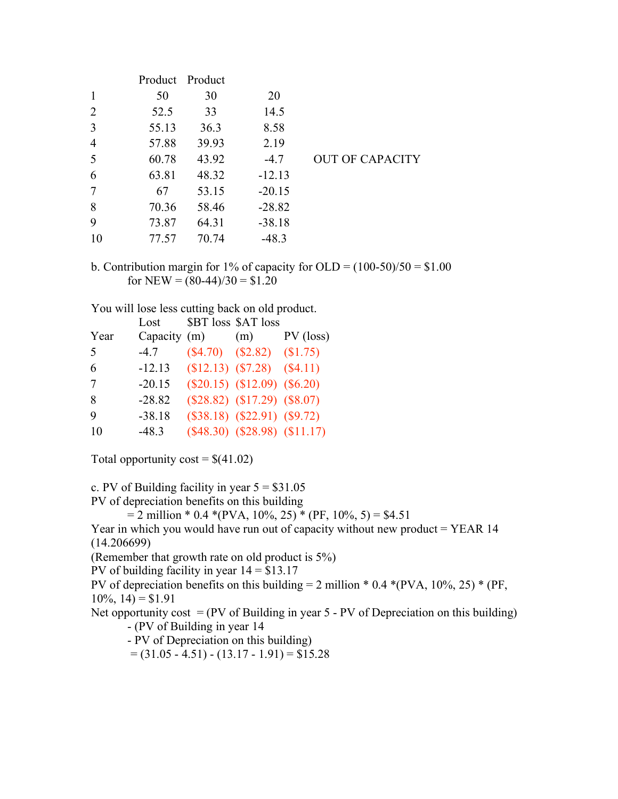| 50    | 30    | 20              |                        |
|-------|-------|-----------------|------------------------|
| 52.5  | 33    | 14.5            |                        |
| 55.13 | 36.3  | 8.58            |                        |
| 57.88 | 39.93 | 2.19            |                        |
| 60.78 | 43.92 | $-4.7$          | <b>OUT OF CAPACITY</b> |
| 63.81 | 48.32 | $-12.13$        |                        |
| 67    | 53.15 | $-20.15$        |                        |
| 70.36 | 58.46 | $-28.82$        |                        |
| 73.87 | 64.31 | $-38.18$        |                        |
| 77.57 | 70.74 | $-48.3$         |                        |
|       |       | Product Product |                        |

b. Contribution margin for 1% of capacity for OLD =  $(100-50)/50 = $1.00$ for NEW =  $(80-44)/30 = $1.20$ 

You will lose less cutting back on old product.

|      | Lost         | \$BT loss \$AT loss                 |             |
|------|--------------|-------------------------------------|-------------|
| Year | Capacity (m) | (m)                                 | $PV$ (loss) |
| 5    | $-4.7$       | $($4.70)$ $($2.82)$ $($1.75)$       |             |
| 6    | $-12.13$     | $$12.13)$ $$7.28)$ $$4.11)$         |             |
| 7    | $-20.15$     | $(\$20.15)$ $(\$12.09)$ $(\$6.20)$  |             |
| 8    | $-28.82$     | $(\$28.82)$ $(\$17.29)$ $(\$8.07)$  |             |
| 9    | $-38.18$     | $(\$38.18)$ $(\$22.91)$ $(\$9.72)$  |             |
| 10   | $-48.3$      | $(\$48.30)$ $(\$28.98)$ $(\$11.17)$ |             |

Total opportunity  $\text{cost} = \frac{\mathcal{S}}{41.02}$ 

c. PV of Building facility in year  $5 = $31.05$ 

PV of depreciation benefits on this building

 $= 2$  million \* 0.4 \*(PVA, 10%, 25) \* (PF, 10%, 5) = \$4.51

Year in which you would have run out of capacity without new product  $=$  YEAR 14 (14.206699)

(Remember that growth rate on old product is 5%)

PV of building facility in year  $14 = $13.17$ 

PV of depreciation benefits on this building = 2 million  $*$  0.4  $*(PVA, 10\%, 25) * (PF, 10\%)$  $10\%, 14$ ) = \$1.91

Net opportunity cost  $= (PV \text{ of Building in year } 5 - PV \text{ of Depreciation on this building})$ - (PV of Building in year 14

- PV of Depreciation on this building)

 $= (31.05 - 4.51) - (13.17 - 1.91) = $15.28$